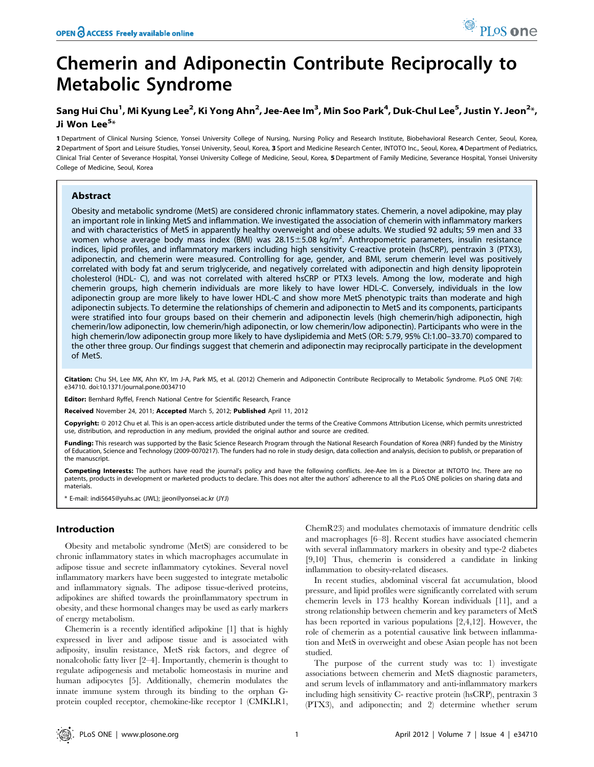# Chemerin and Adiponectin Contribute Reciprocally to Metabolic Syndrome

# Sang Hui Chu<sup>1</sup>, Mi Kyung Lee<sup>2</sup>, Ki Yong Ahn<sup>2</sup>, Jee-Aee Im<sup>3</sup>, Min Soo Park<sup>4</sup>, Duk-Chul Lee<sup>5</sup>, Justin Y. Jeon<sup>2</sup>\*, Ji Won Lee $^{\mathbf{5}\ast}$

1 Department of Clinical Nursing Science, Yonsei University College of Nursing, Nursing Policy and Research Institute, Biobehavioral Research Center, Seoul, Korea, 2 Department of Sport and Leisure Studies, Yonsei University, Seoul, Korea, 3 Sport and Medicine Research Center, INTOTO Inc., Seoul, Korea, 4 Department of Pediatrics, Clinical Trial Center of Severance Hospital, Yonsei University College of Medicine, Seoul, Korea, 5 Department of Family Medicine, Severance Hospital, Yonsei University College of Medicine, Seoul, Korea

### Abstract

Obesity and metabolic syndrome (MetS) are considered chronic inflammatory states. Chemerin, a novel adipokine, may play an important role in linking MetS and inflammation. We investigated the association of chemerin with inflammatory markers and with characteristics of MetS in apparently healthy overweight and obese adults. We studied 92 adults; 59 men and 33 women whose average body mass index (BMI) was 28.15 $\pm$ 5.08 kg/m<sup>2</sup>. Anthropometric parameters, insulin resistance indices, lipid profiles, and inflammatory markers including high sensitivity C-reactive protein (hsCRP), pentraxin 3 (PTX3), adiponectin, and chemerin were measured. Controlling for age, gender, and BMI, serum chemerin level was positively correlated with body fat and serum triglyceride, and negatively correlated with adiponectin and high density lipoprotein cholesterol (HDL- C), and was not correlated with altered hsCRP or PTX3 levels. Among the low, moderate and high chemerin groups, high chemerin individuals are more likely to have lower HDL-C. Conversely, individuals in the low adiponectin group are more likely to have lower HDL-C and show more MetS phenotypic traits than moderate and high adiponectin subjects. To determine the relationships of chemerin and adiponectin to MetS and its components, participants were stratified into four groups based on their chemerin and adiponectin levels (high chemerin/high adiponectin, high chemerin/low adiponectin, low chemerin/high adiponectin, or low chemerin/low adiponectin). Participants who were in the high chemerin/low adiponectin group more likely to have dyslipidemia and MetS (OR: 5.79, 95% CI:1.00-33.70) compared to the other three group. Our findings suggest that chemerin and adiponectin may reciprocally participate in the development of MetS.

Citation: Chu SH, Lee MK, Ahn KY, Im J-A, Park MS, et al. (2012) Chemerin and Adiponectin Contribute Reciprocally to Metabolic Syndrome. PLoS ONE 7(4): e34710. doi:10.1371/journal.pone.0034710

Editor: Bernhard Ryffel, French National Centre for Scientific Research, France

Received November 24, 2011; Accepted March 5, 2012; Published April 11, 2012

Copyright: © 2012 Chu et al. This is an open-access article distributed under the terms of the Creative Commons Attribution License, which permits unrestricted use, distribution, and reproduction in any medium, provided the original author and source are credited.

Funding: This research was supported by the Basic Science Research Program through the National Research Foundation of Korea (NRF) funded by the Ministry of Education, Science and Technology (2009-0070217). The funders had no role in study design, data collection and analysis, decision to publish, or preparation of the manuscript.

Competing Interests: The authors have read the journal's policy and have the following conflicts. Jee-Aee Im is a Director at INTOTO Inc. There are no patents, products in development or marketed products to declare. This does not alter the authors' adherence to all the PLoS ONE policies on sharing data and materials.

\* E-mail: indi5645@yuhs.ac (JWL); jjeon@yonsei.ac.kr (JYJ)

# Introduction

Obesity and metabolic syndrome (MetS) are considered to be chronic inflammatory states in which macrophages accumulate in adipose tissue and secrete inflammatory cytokines. Several novel inflammatory markers have been suggested to integrate metabolic and inflammatory signals. The adipose tissue-derived proteins, adipokines are shifted towards the proinflammatory spectrum in obesity, and these hormonal changes may be used as early markers of energy metabolism.

Chemerin is a recently identified adipokine [1] that is highly expressed in liver and adipose tissue and is associated with adiposity, insulin resistance, MetS risk factors, and degree of nonalcoholic fatty liver [2–4]. Importantly, chemerin is thought to regulate adipogenesis and metabolic homeostasis in murine and human adipocytes [5]. Additionally, chemerin modulates the innate immune system through its binding to the orphan Gprotein coupled receptor, chemokine-like receptor 1 (CMKLR1,

ChemR23) and modulates chemotaxis of immature dendritic cells and macrophages [6–8]. Recent studies have associated chemerin with several inflammatory markers in obesity and type-2 diabetes [9,10] Thus, chemerin is considered a candidate in linking inflammation to obesity-related diseases.

In recent studies, abdominal visceral fat accumulation, blood pressure, and lipid profiles were significantly correlated with serum chemerin levels in 173 healthy Korean individuals [11], and a strong relationship between chemerin and key parameters of MetS has been reported in various populations [2,4,12]. However, the role of chemerin as a potential causative link between inflammation and MetS in overweight and obese Asian people has not been studied.

The purpose of the current study was to: 1) investigate associations between chemerin and MetS diagnostic parameters, and serum levels of inflammatory and anti-inflammatory markers including high sensitivity C- reactive protein (hsCRP), pentraxin 3 (PTX3), and adiponectin; and 2) determine whether serum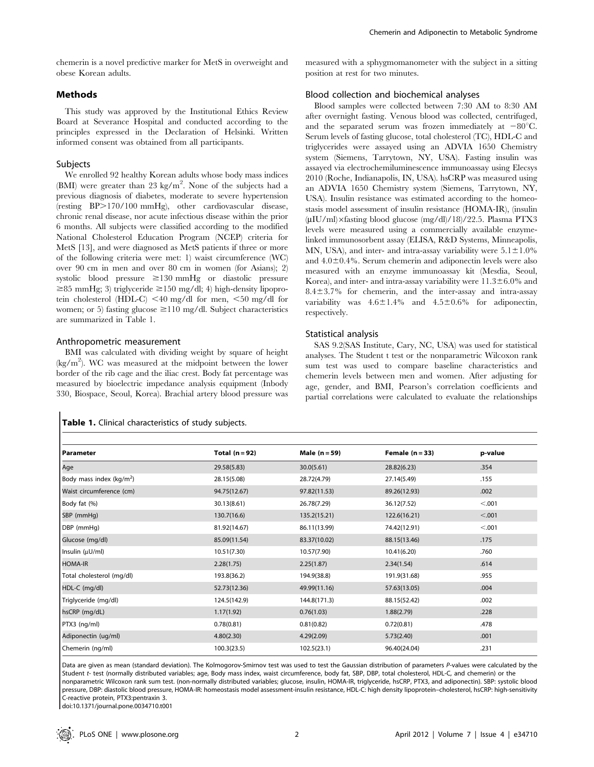chemerin is a novel predictive marker for MetS in overweight and obese Korean adults.

## Methods

This study was approved by the Institutional Ethics Review Board at Severance Hospital and conducted according to the principles expressed in the Declaration of Helsinki. Written informed consent was obtained from all participants.

#### Subjects

We enrolled 92 healthy Korean adults whose body mass indices (BMI) were greater than  $23 \text{ kg/m}^2$ . None of the subjects had a previous diagnosis of diabetes, moderate to severe hypertension (resting BP>170/100 mmHg), other cardiovascular disease, chronic renal disease, nor acute infectious disease within the prior 6 months. All subjects were classified according to the modified National Cholesterol Education Program (NCEP) criteria for MetS [13], and were diagnosed as MetS patients if three or more of the following criteria were met: 1) waist circumference (WC) over 90 cm in men and over 80 cm in women (for Asians); 2) systolic blood pressure  $\geq 130$  mmHg or diastolic pressure  $\geq$ 85 mmHg; 3) triglyceride  $\geq$ 150 mg/dl; 4) high-density lipoprotein cholesterol (HDL-C) <40 mg/dl for men, <50 mg/dl for women; or 5) fasting glucose  $\geq$ 110 mg/dl. Subject characteristics are summarized in Table 1.

#### Anthropometric measurement

BMI was calculated with dividing weight by square of height (kg/m<sup>2</sup> ). WC was measured at the midpoint between the lower border of the rib cage and the iliac crest. Body fat percentage was measured by bioelectric impedance analysis equipment (Inbody 330, Biospace, Seoul, Korea). Brachial artery blood pressure was

# Table 1. Clinical characteristics of study subjects.

measured with a sphygmomanometer with the subject in a sitting position at rest for two minutes.

#### Blood collection and biochemical analyses

Blood samples were collected between 7:30 AM to 8:30 AM after overnight fasting. Venous blood was collected, centrifuged, and the separated serum was frozen immediately at  $-80^{\circ}$ C. Serum levels of fasting glucose, total cholesterol (TC), HDL-C and triglycerides were assayed using an ADVIA 1650 Chemistry system (Siemens, Tarrytown, NY, USA). Fasting insulin was assayed via electrochemiluminescence immunoassay using Elecsys 2010 (Roche, Indianapolis, IN, USA). hsCRP was measured using an ADVIA 1650 Chemistry system (Siemens, Tarrytown, NY, USA). Insulin resistance was estimated according to the homeostasis model assessment of insulin resistance (HOMA-IR), (insulin  $(\mu$ IU/ml $)\times$ fasting blood glucose  $(mg/dl)/18)/22.5$ . Plasma PTX3 levels were measured using a commercially available enzymelinked immunosorbent assay (ELISA, R&D Systems, Minneapolis, MN, USA), and inter- and intra-assay variability were  $5.1 \pm 1.0\%$ and  $4.0\pm0.4\%$ . Serum chemerin and adiponectin levels were also measured with an enzyme immunoassay kit (Mesdia, Seoul, Korea), and inter- and intra-assay variability were  $11.3\pm6.0\%$  and  $8.4 \pm 3.7\%$  for chemerin, and the inter-assay and intra-assay variability was  $4.6 \pm 1.4\%$  and  $4.5 \pm 0.6\%$  for adiponectin, respectively.

#### Statistical analysis

SAS 9.2(SAS Institute, Cary, NC, USA) was used for statistical analyses. The Student t test or the nonparametric Wilcoxon rank sum test was used to compare baseline characteristics and chemerin levels between men and women. After adjusting for age, gender, and BMI, Pearson's correlation coefficients and partial correlations were calculated to evaluate the relationships

| Total $(n=92)$ | Male (n = 59) | Female $(n=33)$ | p-value |
|----------------|---------------|-----------------|---------|
| 29.58(5.83)    | 30.0(5.61)    | 28.82(6.23)     | .354    |
| 28.15(5.08)    | 28.72(4.79)   | 27.14(5.49)     | .155    |
| 94.75(12.67)   | 97.82(11.53)  | 89.26(12.93)    | .002    |
| 30.13(8.61)    | 26.78(7.29)   | 36.12(7.52)     | < .001  |
| 130.7(16.6)    | 135.2(15.21)  | 122.6(16.21)    | < .001  |
| 81.92(14.67)   | 86.11(13.99)  | 74.42(12.91)    | < .001  |
| 85.09(11.54)   | 83.37(10.02)  | 88.15(13.46)    | .175    |
| 10.51(7.30)    | 10.57(7.90)   | 10.41(6.20)     | .760    |
| 2.28(1.75)     | 2.25(1.87)    | 2.34(1.54)      | .614    |
| 193.8(36.2)    | 194.9(38.8)   | 191.9(31.68)    | .955    |
| 52.73(12.36)   | 49.99(11.16)  | 57.63(13.05)    | .004    |
| 124.5(142.9)   | 144.8(171.3)  | 88.15(52.42)    | .002    |
| 1.17(1.92)     | 0.76(1.03)    | 1.88(2.79)      | .228    |
| 0.78(0.81)     | 0.81(0.82)    | 0.72(0.81)      | .478    |
| 4.80(2.30)     | 4.29(2.09)    | 5.73(2.40)      | .001    |
| 100.3(23.5)    | 102.5(23.1)   | 96.40(24.04)    | .231    |
|                |               |                 |         |

Data are given as mean (standard deviation). The Kolmogorov-Smirnov test was used to test the Gaussian distribution of parameters P-values were calculated by the Student t- test (normally distributed variables; age, Body mass index, waist circumference, body fat, SBP, DBP, total cholesterol, HDL-C, and chemerin) or the nonparametric Wilcoxon rank sum test. (non-normally distributed variables; glucose, insulin, HOMA-IR, triglyceride, hsCRP, PTX3, and adiponectin). SBP: systolic blood pressure, DBP: diastolic blood pressure, HOMA-IR: homeostasis model assessment-insulin resistance, HDL-C: high density lipoprotein–cholesterol, hsCRP: high-sensitivity C-reactive protein, PTX3:pentraxin 3.

doi:10.1371/journal.pone.0034710.t001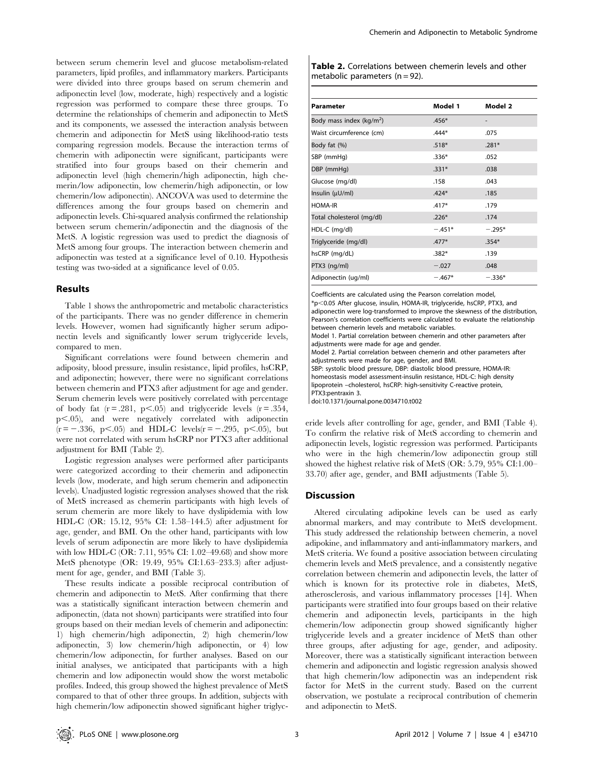between serum chemerin level and glucose metabolism-related parameters, lipid profiles, and inflammatory markers. Participants were divided into three groups based on serum chemerin and adiponectin level (low, moderate, high) respectively and a logistic regression was performed to compare these three groups. To determine the relationships of chemerin and adiponectin to MetS and its components, we assessed the interaction analysis between chemerin and adiponectin for MetS using likelihood-ratio tests comparing regression models. Because the interaction terms of chemerin with adiponectin were significant, participants were stratified into four groups based on their chemerin and adiponectin level (high chemerin/high adiponectin, high chemerin/low adiponectin, low chemerin/high adiponectin, or low chemerin/low adiponectin). ANCOVA was used to determine the differences among the four groups based on chemerin and adiponectin levels. Chi-squared analysis confirmed the relationship between serum chemerin/adiponectin and the diagnosis of the MetS. A logistic regression was used to predict the diagnosis of MetS among four groups. The interaction between chemerin and adiponectin was tested at a significance level of 0.10. Hypothesis testing was two-sided at a significance level of 0.05.

#### Results

Table 1 shows the anthropometric and metabolic characteristics of the participants. There was no gender difference in chemerin levels. However, women had significantly higher serum adiponectin levels and significantly lower serum triglyceride levels, compared to men.

Significant correlations were found between chemerin and adiposity, blood pressure, insulin resistance, lipid profiles, hsCRP, and adiponectin; however, there were no significant correlations between chemerin and PTX3 after adjustment for age and gender. Serum chemerin levels were positively correlated with percentage of body fat  $(r = .281, p < .05)$  and triglyceride levels  $(r = .354,$  $p<.05$ ), and were negatively correlated with adiponectin  $(r = -.336, p < .05)$  and HDL-C levels $(r = -.295, p < .05)$ , but were not correlated with serum hsCRP nor PTX3 after additional adjustment for BMI (Table 2).

Logistic regression analyses were performed after participants were categorized according to their chemerin and adiponectin levels (low, moderate, and high serum chemerin and adiponectin levels). Unadjusted logistic regression analyses showed that the risk of MetS increased as chemerin participants with high levels of serum chemerin are more likely to have dyslipidemia with low HDL-C (OR: 15.12, 95% CI: 1.58–144.5) after adjustment for age, gender, and BMI. On the other hand, participants with low levels of serum adiponectin are more likely to have dyslipidemia with low HDL-C (OR: 7.11, 95% CI: 1.02–49.68) and show more MetS phenotype (OR: 19.49, 95% CI:1.63–233.3) after adjustment for age, gender, and BMI (Table 3).

These results indicate a possible reciprocal contribution of chemerin and adiponectin to MetS. After confirming that there was a statistically significant interaction between chemerin and adiponectin, (data not shown) participants were stratified into four groups based on their median levels of chemerin and adiponectin: 1) high chemerin/high adiponectin, 2) high chemerin/low adiponectin, 3) low chemerin/high adiponectin, or 4) low chemerin/low adiponectin, for further analyses. Based on our initial analyses, we anticipated that participants with a high chemerin and low adiponectin would show the worst metabolic profiles. Indeed, this group showed the highest prevalence of MetS compared to that of other three groups. In addition, subjects with high chemerin/low adiponectin showed significant higher triglycTable 2. Correlations between chemerin levels and other metabolic parameters  $(n = 92)$ .

| Model 1  | Model 2  |
|----------|----------|
| $.456*$  |          |
| $.444*$  | .075     |
| $.518*$  | $.281*$  |
| $.336*$  | .052     |
| $.331*$  | .038     |
| .158     | .043     |
| $.424*$  | .185     |
| $.417*$  | .179     |
| $.226*$  | .174     |
| $-.451*$ | $-.295*$ |
| $.477*$  | $.354*$  |
| $.382*$  | .139     |
| $-.027$  | .048     |
| $-.467*$ | $-.336*$ |
|          |          |

Coefficients are calculated using the Pearson correlation model, \*p,0.05 After glucose, insulin, HOMA-IR, triglyceride, hsCRP, PTX3, and adiponectin were log-transformed to improve the skewness of the distribution, Pearson's correlation coefficients were calculated to evaluate the relationship between chemerin levels and metabolic variables.

Model 1. Partial correlation between chemerin and other parameters after adjustments were made for age and gender.

Model 2. Partial correlation between chemerin and other parameters after adjustments were made for age, gender, and BMI.

SBP: systolic blood pressure, DBP: diastolic blood pressure, HOMA-IR: homeostasis model assessment-insulin resistance, HDL-C: high density lipoprotein –cholesterol, hsCRP: high-sensitivity C-reactive protein, PTX3:pentraxin 3.

doi:10.1371/journal.pone.0034710.t002

eride levels after controlling for age, gender, and BMI (Table 4). To confirm the relative risk of MetS according to chemerin and adiponectin levels, logistic regression was performed. Participants who were in the high chemerin/low adiponectin group still showed the highest relative risk of MetS (OR: 5.79, 95% CI:1.00– 33.70) after age, gender, and BMI adjustments (Table 5).

#### **Discussion**

Altered circulating adipokine levels can be used as early abnormal markers, and may contribute to MetS development. This study addressed the relationship between chemerin, a novel adipokine, and inflammatory and anti-inflammatory markers, and MetS criteria. We found a positive association between circulating chemerin levels and MetS prevalence, and a consistently negative correlation between chemerin and adiponectin levels, the latter of which is known for its protective role in diabetes, MetS, atherosclerosis, and various inflammatory processes [14]. When participants were stratified into four groups based on their relative chemerin and adiponectin levels, participants in the high chemerin/low adiponectin group showed significantly higher triglyceride levels and a greater incidence of MetS than other three groups, after adjusting for age, gender, and adiposity. Moreover, there was a statistically significant interaction between chemerin and adiponectin and logistic regression analysis showed that high chemerin/low adiponectin was an independent risk factor for MetS in the current study. Based on the current observation, we postulate a reciprocal contribution of chemerin and adiponectin to MetS.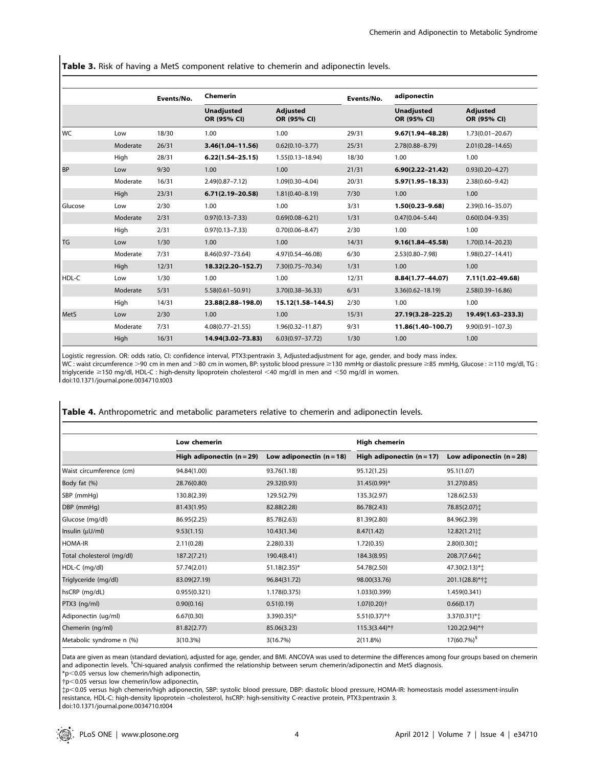Table 3. Risk of having a MetS component relative to chemerin and adiponectin levels.

|           |          | Events/No. | <b>Chemerin</b>                  |                                | Events/No. | adiponectin                      |                                |
|-----------|----------|------------|----------------------------------|--------------------------------|------------|----------------------------------|--------------------------------|
|           |          |            | <b>Unadjusted</b><br>OR (95% CI) | <b>Adjusted</b><br>OR (95% CI) |            | <b>Unadjusted</b><br>OR (95% CI) | <b>Adjusted</b><br>OR (95% CI) |
| <b>WC</b> | Low      | 18/30      | 1.00                             | 1.00                           | 29/31      | 9.67(1.94-48.28)                 | $1.73(0.01 - 20.67)$           |
|           | Moderate | 26/31      | $3.46(1.04 - 11.56)$             | $0.62(0.10-3.77)$              | 25/31      | $2.78(0.88 - 8.79)$              | $2.01(0.28 - 14.65)$           |
|           | High     | 28/31      | $6.22(1.54 - 25.15)$             | $1.55(0.13 - 18.94)$           | 18/30      | 1.00                             | 1.00                           |
| <b>BP</b> | Low      | 9/30       | 1.00                             | 1.00                           | 21/31      | $6.90(2.22 - 21.42)$             | $0.93(0.20 - 4.27)$            |
|           | Moderate | 16/31      | $2.49(0.87 - 7.12)$              | $1.09(0.30 - 4.04)$            | 20/31      | 5.97(1.95-18.33)                 | $2.38(0.60 - 9.42)$            |
|           | High     | 23/31      | $6.71(2.19 - 20.58)$             | $1.81(0.40 - 8.19)$            | 7/30       | 1.00                             | 1.00                           |
| Glucose   | Low      | 2/30       | 1.00                             | 1.00                           | 3/31       | $1.50(0.23 - 9.68)$              | 2.39(0.16-35.07)               |
|           | Moderate | 2/31       | $0.97(0.13 - 7.33)$              | $0.69(0.08 - 6.21)$            | 1/31       | $0.47(0.04 - 5.44)$              | $0.60(0.04 - 9.35)$            |
|           | High     | 2/31       | $0.97(0.13 - 7.33)$              | $0.70(0.06 - 8.47)$            | 2/30       | 1.00                             | 1.00                           |
| <b>TG</b> | Low      | 1/30       | 1.00                             | 1.00                           | 14/31      | $9.16(1.84 - 45.58)$             | $1.70(0.14 - 20.23)$           |
|           | Moderate | 7/31       | 8.46(0.97-73.64)                 | 4.97(0.54-46.08)               | 6/30       | $2.53(0.80 - 7.98)$              | $1.98(0.27 - 14.41)$           |
|           | High     | 12/31      | 18.32(2.20-152.7)                | 7.30(0.75-70.34)               | 1/31       | 1.00                             | 1.00                           |
| HDL-C     | Low      | 1/30       | 1.00                             | 1.00                           | 12/31      | 8.84(1.77-44.07)                 | 7.11(1.02-49.68)               |
|           | Moderate | 5/31       | $5.58(0.61 - 50.91)$             | $3.70(0.38 - 36.33)$           | 6/31       | $3.36(0.62 - 18.19)$             | $2.58(0.39 - 16.86)$           |
|           | High     | 14/31      | 23.88(2.88-198.0)                | 15.12(1.58-144.5)              | 2/30       | 1.00                             | 1.00                           |
| MetS      | Low      | 2/30       | 1.00                             | 1.00                           | 15/31      | 27.19(3.28-225.2)                | 19.49(1.63-233.3)              |
|           | Moderate | 7/31       | $4.08(0.77 - 21.55)$             | $1.96(0.32 - 11.87)$           | 9/31       | 11.86(1.40-100.7)                | $9.90(0.91 - 107.3)$           |
|           | High     | 16/31      | 14.94(3.02-73.83)                | $6.03(0.97 - 37.72)$           | 1/30       | 1.00                             | 1.00                           |

Logistic regression. OR: odds ratio, CI: confidence interval, PTX3:pentraxin 3, Adjusted:adjustment for age, gender, and body mass index.

WC : waist circumference >90 cm in men and >80 cm in women, BP: systolic blood pressure ≥130 mmHg or diastolic pressure ≥85 mmHg, Glucose : ≥110 mg/dl, TG : triglyceride ≥150 mg/dl, HDL-C : high-density lipoprotein cholesterol <40 mg/dl in men and <50 mg/dl in women.

doi:10.1371/journal.pone.0034710.t003

# Table 4. Anthropometric and metabolic parameters relative to chemerin and adiponectin levels.

|                           | Low chemerin              |                            |                             |                                      |
|---------------------------|---------------------------|----------------------------|-----------------------------|--------------------------------------|
|                           | High adiponectin $(n=29)$ | Low adiponectin $(n = 18)$ | High adiponectin $(n = 17)$ | Low adiponectin $(n = 28)$           |
| Waist circumference (cm)  | 94.84(1.00)               | 93.76(1.18)                | 95.12(1.25)                 | 95.1(1.07)                           |
| Body fat (%)              | 28.76(0.80)               | 29.32(0.93)                | $31.45(0.99)^{*}$           | 31.27(0.85)                          |
| SBP (mmHg)                | 130.8(2.39)               | 129.5(2.79)                | 135.3(2.97)                 | 128.6(2.53)                          |
| DBP (mmHg)                | 81.43(1.95)               | 82.88(2.28)                | 86.78(2.43)                 | 78.85(2.07):                         |
| Glucose (mg/dl)           | 86.95(2.25)               | 85.78(2.63)                | 81.39(2.80)                 | 84.96(2.39)                          |
| Insulin $(\mu U/ml)$      | 9.53(1.15)                | 10.43(1.34)                | 8.47(1.42)                  | 12.82(1.21)                          |
| <b>HOMA-IR</b>            | 2.11(0.28)                | 2.28(0.33)                 | 1.72(0.35)                  | 2.80(0.30)                           |
| Total cholesterol (mg/dl) | 187.2(7.21)               | 190.4(8.41)                | 184.3(8.95)                 | 208.7(7.64) $\ddagger$               |
| HDL-C (mg/dl)             | 57.74(2.01)               | $51.18(2.35)^*$            | 54.78(2.50)                 | 47.30(2.13)**                        |
| Triglyceride (mg/dl)      | 83.09(27.19)              | 96.84(31.72)               | 98.00(33.76)                | 201.1(28.8)*††                       |
| hsCRP (mg/dL)             | 0.955(0.321)              | 1.178(0.375)               | 1.033(0.399)                | 1.459(0.341)                         |
| PTX3 (ng/ml)              | 0.90(0.16)                | 0.51(0.19)                 | $1.07(0.20)$ <sup>†</sup>   | 0.66(0.17)                           |
| Adiponectin (ug/ml)       | 6.67(0.30)                | $3.39(0.35)^*$             | $5.51(0.37)$ *†             | $3.37(0.31)$ <sup>*</sup> $\ddagger$ |
| Chemerin (ng/ml)          | 81.82(2.77)               | 85.06(3.23)                | $115.3(3.44)$ *†            | 120.2(2.94)*†                        |
| Metabolic syndrome n (%)  | 3(10.3%)                  | 3(16.7%)                   | 2(11.8%)                    | $17(60.7\%)$ <sup>5</sup>            |

Data are given as mean (standard deviation), adjusted for age, gender, and BMI. ANCOVA was used to determine the differences among four groups based on chemerin and adiponectin levels. <sup>§</sup>Chi-squared analysis confirmed the relationship between serum chemerin/adiponectin and MetS diagnosis.

 $*p$ <0.05 versus low chemerin/high adiponectin,

 ${\dagger}$ p<0.05 versus low chemerin/low adiponectin,

{p,0.05 versus high chemerin/high adiponectin, SBP: systolic blood pressure, DBP: diastolic blood pressure, HOMA-IR: homeostasis model assessment-insulin resistance, HDL-C: high-density lipoprotein –cholesterol, hsCRP: high-sensitivity C-reactive protein, PTX3:pentraxin 3.

doi:10.1371/journal.pone.0034710.t004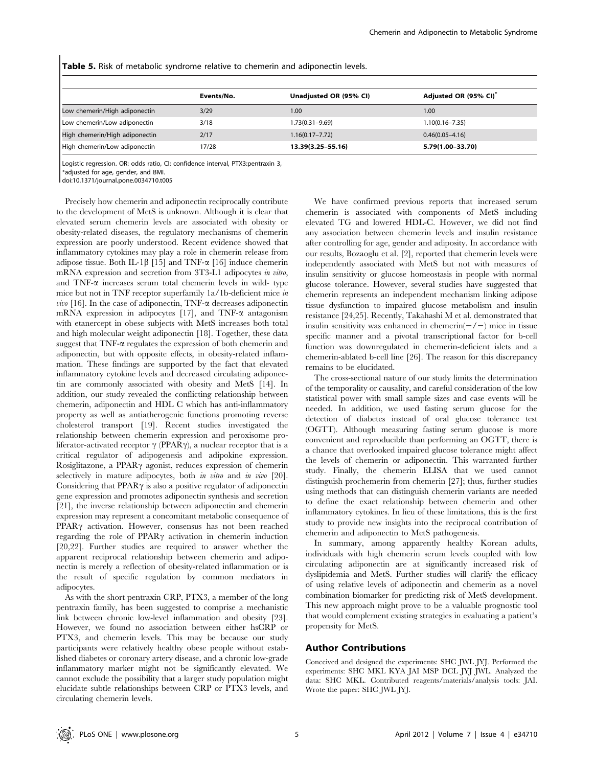|                                | Events/No. | Unadjusted OR (95% CI) | Adjusted OR (95% CI) <sup>*</sup> |  |
|--------------------------------|------------|------------------------|-----------------------------------|--|
| Low chemerin/High adiponectin  | 3/29       | 1.00 <sub>1</sub>      | 1.00                              |  |
| Low chemerin/Low adiponectin   | 3/18       | 1.73(0.31-9.69)        | $1.10(0.16 - 7.35)$               |  |
| High chemerin/High adiponectin | 2/17       | $1.16(0.17 - 7.72)$    | $0.46(0.05 - 4.16)$               |  |
| High chemerin/Low adiponectin  | 17/28      | 13.39(3.25–55.16)      | 5.79(1.00-33.70)                  |  |

Table 5. Risk of metabolic syndrome relative to chemerin and adiponectin levels.

Logistic regression. OR: odds ratio, CI: confidence interval, PTX3:pentraxin 3,

\*adjusted for age, gender, and BMI.

doi:10.1371/journal.pone.0034710.t005

Precisely how chemerin and adiponectin reciprocally contribute to the development of MetS is unknown. Although it is clear that elevated serum chemerin levels are associated with obesity or obesity-related diseases, the regulatory mechanisms of chemerin expression are poorly understood. Recent evidence showed that inflammatory cytokines may play a role in chemerin release from adipose tissue. Both IL-1 $\beta$  [15] and TNF- $\alpha$  [16] induce chemerin mRNA expression and secretion from 3T3-L1 adipocytes in vitro, and  $TNF-\alpha$  increases serum total chemerin levels in wild- type mice but not in TNF receptor superfamily 1a/1b-deficient mice in *vivo* [16]. In the case of adiponectin,  $TNF-\alpha$  decreases adiponecting mRNA expression in adipocytes [17], and TNF- $\alpha$  antagonism with etanercept in obese subjects with MetS increases both total and high molecular weight adiponectin [18]. Together, these data suggest that TNF- $\alpha$  regulates the expression of both chemerin and adiponectin, but with opposite effects, in obesity-related inflammation. These findings are supported by the fact that elevated inflammatory cytokine levels and decreased circulating adiponectin are commonly associated with obesity and MetS [14]. In addition, our study revealed the conflicting relationship between chemerin, adiponectin and HDL C which has anti-inflammatory property as well as antiatherogenic functions promoting reverse cholesterol transport [19]. Recent studies investigated the relationship between chemerin expression and peroxisome proliferator-activated receptor  $\gamma$  (PPAR $\gamma$ ), a nuclear receptor that is a critical regulator of adipogenesis and adipokine expression. Rosiglitazone, a PPAR $\gamma$  agonist, reduces expression of chemerin selectively in mature adipocytes, both *in vitro* and *in vivo* [20]. Considering that  $PPAR\gamma$  is also a positive regulator of adiponectin gene expression and promotes adiponectin synthesis and secretion [21], the inverse relationship between adiponectin and chemerin expression may represent a concomitant metabolic consequence of  $PPAR\gamma$  activation. However, consensus has not been reached regarding the role of  $PPAR\gamma$  activation in chemerin induction [20,22]. Further studies are required to answer whether the apparent reciprocal relationship between chemerin and adiponectin is merely a reflection of obesity-related inflammation or is the result of specific regulation by common mediators in adipocytes.

As with the short pentraxin CRP, PTX3, a member of the long pentraxin family, has been suggested to comprise a mechanistic link between chronic low-level inflammation and obesity [23]. However, we found no association between either hsCRP or PTX3, and chemerin levels. This may be because our study participants were relatively healthy obese people without established diabetes or coronary artery disease, and a chronic low-grade inflammatory marker might not be significantly elevated. We cannot exclude the possibility that a larger study population might elucidate subtle relationships between CRP or PTX3 levels, and circulating chemerin levels.

We have confirmed previous reports that increased serum chemerin is associated with components of MetS including elevated TG and lowered HDL-C. However, we did not find any association between chemerin levels and insulin resistance after controlling for age, gender and adiposity. In accordance with our results, Bozaoglu et al. [2], reported that chemerin levels were independently associated with MetS but not with measures of insulin sensitivity or glucose homeostasis in people with normal glucose tolerance. However, several studies have suggested that chemerin represents an independent mechanism linking adipose tissue dysfunction to impaired glucose metabolism and insulin resistance [24,25]. Recently, Takahashi M et al. demonstrated that insulin sensitivity was enhanced in chemerin( $-\ell$ ) mice in tissue specific manner and a pivotal transcriptional factor for b-cell function was downregulated in chemerin-deficient islets and a chemerin-ablated b-cell line [26]. The reason for this discrepancy remains to be elucidated.

The cross-sectional nature of our study limits the determination of the temporality or causality, and careful consideration of the low statistical power with small sample sizes and case events will be needed. In addition, we used fasting serum glucose for the detection of diabetes instead of oral glucose tolerance test (OGTT). Although measuring fasting serum glucose is more convenient and reproducible than performing an OGTT, there is a chance that overlooked impaired glucose tolerance might affect the levels of chemerin or adiponectin. This warranted further study. Finally, the chemerin ELISA that we used cannot distinguish prochemerin from chemerin [27]; thus, further studies using methods that can distinguish chemerin variants are needed to define the exact relationship between chemerin and other inflammatory cytokines. In lieu of these limitations, this is the first study to provide new insights into the reciprocal contribution of chemerin and adiponectin to MetS pathogenesis.

In summary, among apparently healthy Korean adults, individuals with high chemerin serum levels coupled with low circulating adiponectin are at significantly increased risk of dyslipidemia and MetS. Further studies will clarify the efficacy of using relative levels of adiponectin and chemerin as a novel combination biomarker for predicting risk of MetS development. This new approach might prove to be a valuable prognostic tool that would complement existing strategies in evaluating a patient's propensity for MetS.

#### Author Contributions

Conceived and designed the experiments: SHC JWL JYJ. Performed the experiments: SHC MKL KYA JAI MSP DCL JYJ JWL. Analyzed the data: SHC MKL. Contributed reagents/materials/analysis tools: JAI. Wrote the paper: SHC JWL JYJ.